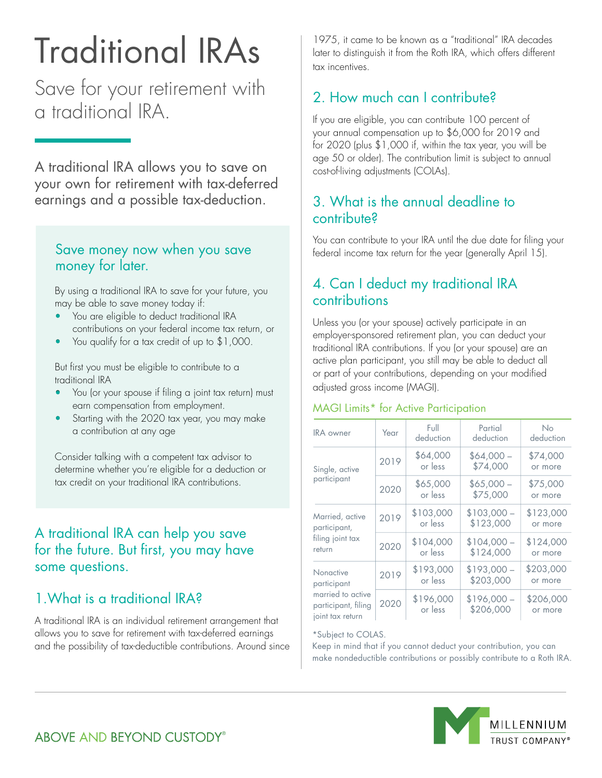# Traditional IRAs

Save for your retirement with a traditional IRA.

A traditional IRA allows you to save on your own for retirement with tax-deferred earnings and a possible tax-deduction.

#### Save money now when you save money for later.

By using a traditional IRA to save for your future, you may be able to save money today if:

- You are eligible to deduct traditional IRA contributions on your federal income tax return, or
- You qualify for a tax credit of up to \$1,000.

But first you must be eligible to contribute to a traditional IRA

- You (or your spouse if filing a joint tax return) must earn compensation from employment.
- Starting with the 2020 tax year, you may make a contribution at any age

Consider talking with a competent tax advisor to determine whether you're eligible for a deduction or tax credit on your traditional IRA contributions.

# A traditional IRA can help you save for the future. But first, you may have some questions.

# 1.What is a traditional IRA?

A traditional IRA is an individual retirement arrangement that allows you to save for retirement with tax-deferred earnings and the possibility of tax-deductible contributions. Around since 1975, it came to be known as a "traditional" IRA decades later to distinguish it from the Roth IRA, which offers different tax incentives.

# 2. How much can I contribute?

If you are eligible, you can contribute 100 percent of your annual compensation up to \$6,000 for 2019 and for 2020 (plus \$1,000 if, within the tax year, you will be age 50 or older). The contribution limit is subject to annual cost-of-living adjustments (COLAs).

# 3. What is the annual deadline to contribute?

You can contribute to your IRA until the due date for filing your federal income tax return for the year (generally April 15).

# 4. Can I deduct my traditional IRA contributions

Unless you (or your spouse) actively participate in an employer-sponsored retirement plan, you can deduct your traditional IRA contributions. If you (or your spouse) are an active plan participant, you still may be able to deduct all or part of your contributions, depending on your modified adjusted gross income (MAGI).

#### MAGI Limits\* for Active Participation

| <b>IRA</b> owner                                                                         | Year | Full<br>deduction    | Partial<br>deduction     | No<br>deduction      |
|------------------------------------------------------------------------------------------|------|----------------------|--------------------------|----------------------|
| Single, active<br>participant                                                            | 2019 | \$64,000<br>or less  | $$64,000-$<br>\$74,000   | \$74,000<br>or more  |
|                                                                                          | 2020 | \$65,000<br>or less  | $$65,000-$<br>\$75,000   | \$75,000<br>or more  |
| Married, active<br>participant,<br>filing joint tax<br>return                            | 2019 | \$103,000<br>or less | $$103,000-$<br>\$123,000 | \$123,000<br>or more |
|                                                                                          | 2020 | \$104,000<br>or less | $$104,000-$<br>\$124,000 | \$124,000<br>or more |
| Nonactive<br>participant<br>married to active<br>participant, filing<br>joint tax return | 2019 | \$193,000<br>or less | $$193,000-$<br>\$203,000 | \$203,000<br>or more |
|                                                                                          | 2020 | \$196,000<br>or less | $$196,000-$<br>\$206,000 | \$206,000<br>or more |

#### \*Subject to COLAS.

Keep in mind that if you cannot deduct your contribution, you can make nondeductible contributions or possibly contribute to a Roth IRA.